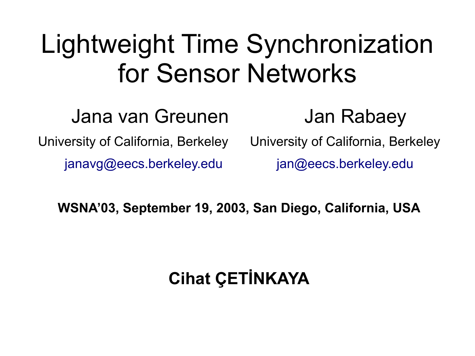#### Lightweight Time Synchronization for Sensor Networks

Jana van Greunen Jan Rabaey University of California, Berkeley University of California, Berkeley [janavg@eecs.berkeley.edu](mailto:janavg@eecs.berkeley.edu) [jan@eecs.berkeley.edu](mailto:jan@eecs.berkeley.edu)

**WSNA'03, September 19, 2003, San Diego, California, USA**

#### **Cihat ÇETİNKAYA**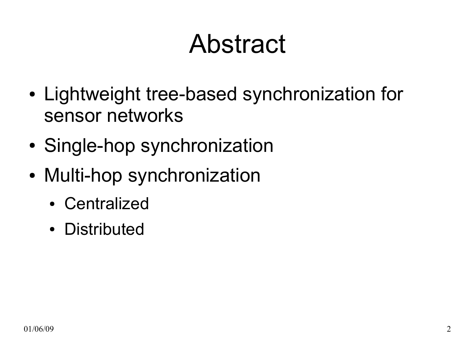## Abstract

- Lightweight tree-based synchronization for sensor networks
- Single-hop synchronization
- Multi-hop synchronization
	- Centralized
	- Distributed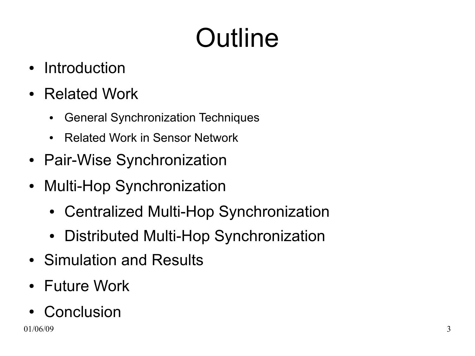# **Outline**

- Introduction
- Related Work
	- General Synchronization Techniques
	- Related Work in Sensor Network
- Pair-Wise Synchronization
- Multi-Hop Synchronization
	- Centralized Multi-Hop Synchronization
	- Distributed Multi-Hop Synchronization
- Simulation and Results
- Future Work
- Conclusion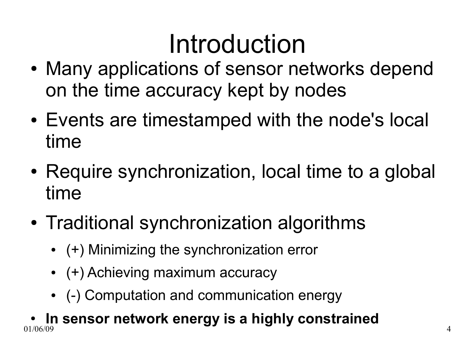## Introduction

- Many applications of sensor networks depend on the time accuracy kept by nodes
- Events are timestamped with the node's local time
- Require synchronization, local time to a global time
- Traditional synchronization algorithms
	- (+) Minimizing the synchronization error
	- $\bullet$  (+) Achieving maximum accuracy
	- (-) Computation and communication energy

01/06/09 4 **• In sensor network energy is a highly constrained**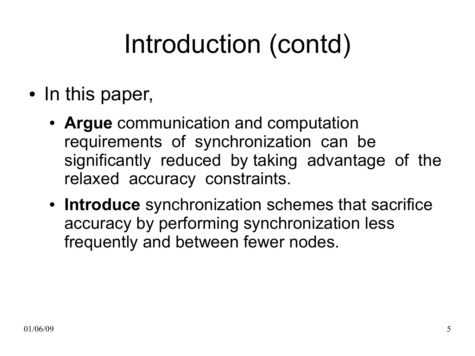# Introduction (contd)

- In this paper,
	- Argue communication and computation requirements of synchronization can be significantly reduced by taking advantage of the relaxed accuracy constraints.
	- **Introduce** synchronization schemes that sacrifice accuracy by performing synchronization less frequently and between fewer nodes.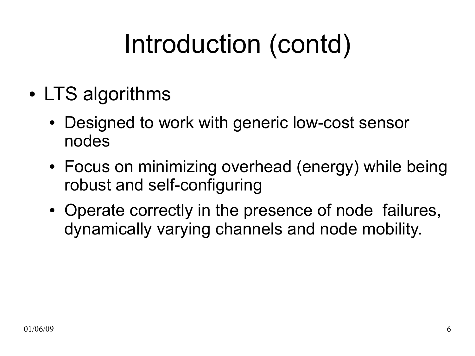# Introduction (contd)

- LTS algorithms
	- Designed to work with generic low-cost sensor nodes
	- Focus on minimizing overhead (energy) while being robust and self-configuring
	- Operate correctly in the presence of node failures, dynamically varying channels and node mobility.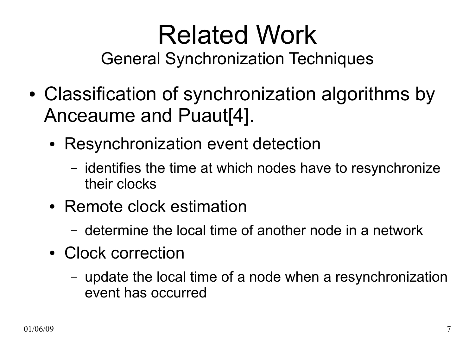#### Related Work General Synchronization Techniques

- Classification of synchronization algorithms by Anceaume and Puaut[4].
	- Resynchronization event detection
		- identifies the time at which nodes have to resynchronize their clocks
	- Remote clock estimation
		- determine the local time of another node in a network
	- Clock correction
		- update the local time of a node when a resynchronization event has occurred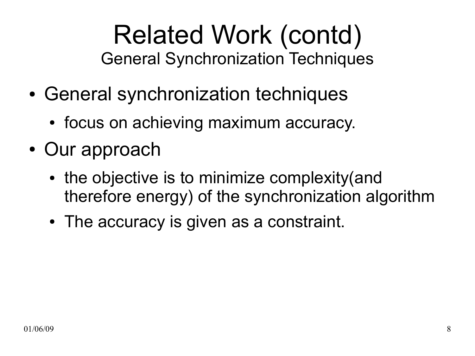#### Related Work (contd) General Synchronization Techniques

- General synchronization techniques
	- focus on achieving maximum accuracy.
- Our approach
	- the objective is to minimize complexity (and therefore energy) of the synchronization algorithm
	- The accuracy is given as a constraint.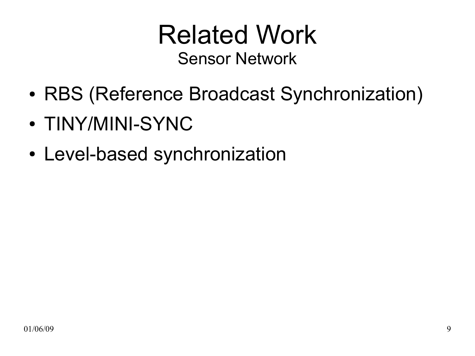#### Related Work Sensor Network

- RBS (Reference Broadcast Synchronization)
- TINY/MINI-SYNC
- Level-based synchronization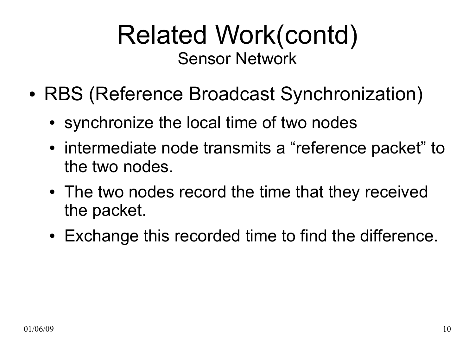#### Related Work(contd) Sensor Network

- RBS (Reference Broadcast Synchronization)
	- synchronize the local time of two nodes
	- intermediate node transmits a "reference packet" to the two nodes.
	- The two nodes record the time that they received the packet.
	- Exchange this recorded time to find the difference.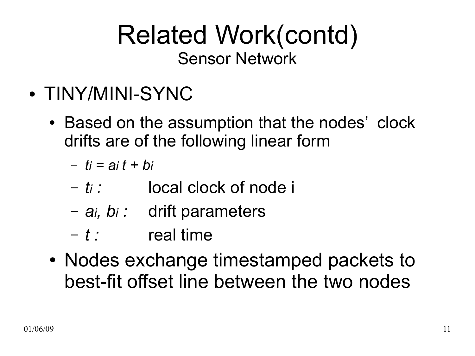#### Related Work(contd) Sensor Network

- TINY/MINI-SYNC
	- Based on the assumption that the nodes' clock drifts are of the following linear form
		- $t_i = ai t + bi$
		- *ti :* local clock of node i
		- *ai, bi :* drift parameters
		- *t :* real time
	- Nodes exchange timestamped packets to best-fit offset line between the two nodes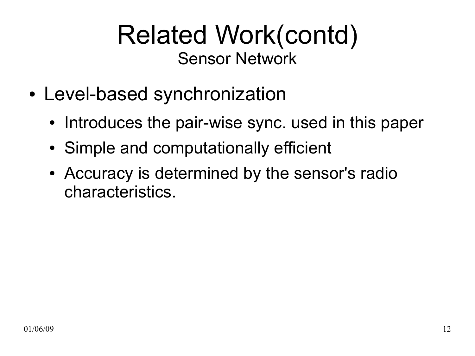#### Related Work(contd) Sensor Network

- Level-based synchronization
	- Introduces the pair-wise sync. used in this paper
	- Simple and computationally efficient
	- Accuracy is determined by the sensor's radio characteristics.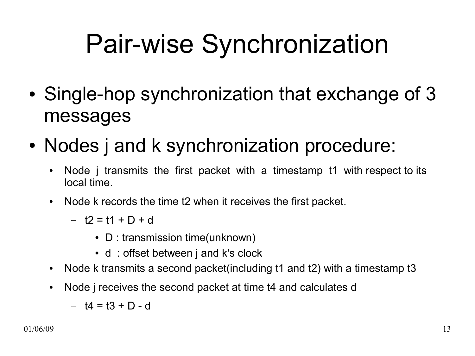# Pair-wise Synchronization

- Single-hop synchronization that exchange of 3 messages
- Nodes j and k synchronization procedure:
	- Node j transmits the first packet with a timestamp t1 with respect to its local time.
	- Node k records the time t2 when it receives the first packet.
		- t2 = t1 + D + d
			- $\bullet$  D : transmission time(unknown)
			- d: offset between j and k's clock
	- Node k transmits a second packet (including t1 and t2) with a timestamp t3
	- Node j receives the second packet at time t4 and calculates d
		- t4 = t3 + D d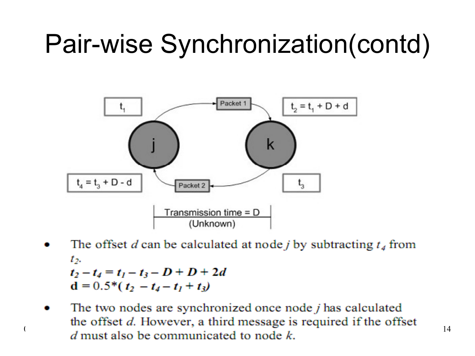

- The offset d can be calculated at node j by subtracting  $t_4$  from  $t_{2}$  $t_2-t_4 = t_1-t_3-D+D+2d$  $d = 0.5*(t_2 - t_4 - t_1 + t_3)$
- The two nodes are synchronized once node *j* has calculated the offset d. However, a third message is required if the offset d must also be communicated to node k.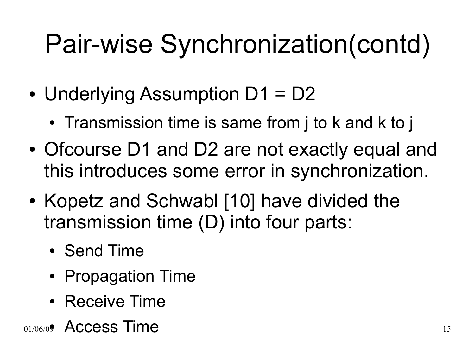- Underlying Assumption  $D1 = D2$ 
	- Transmission time is same from j to k and k to j
- Ofcourse D1 and D2 are not exactly equal and this introduces some error in synchronization.
- Kopetz and Schwabl [10] have divided the transmission time (D) into four parts:
	- Send Time
	- Propagation Time
	- Receive Time
- 01/06/09 Access Time 15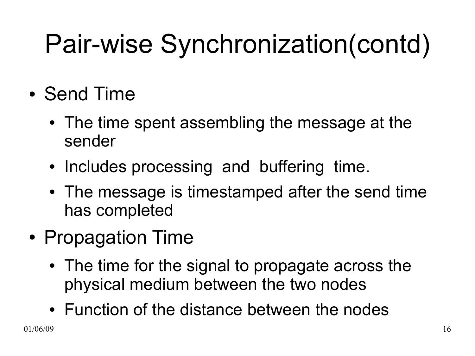- Send Time
	- The time spent assembling the message at the sender
	- Includes processing and buffering time.
	- The message is timestamped after the send time has completed
- Propagation Time
	- The time for the signal to propagate across the physical medium between the two nodes
	- Function of the distance between the nodes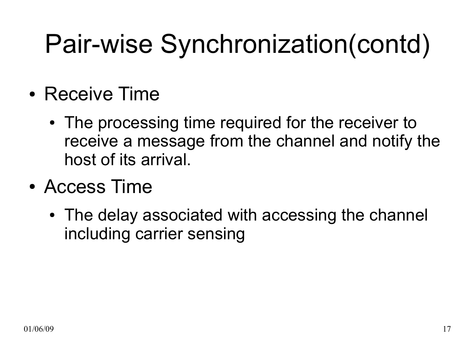- Receive Time
	- The processing time required for the receiver to receive a message from the channel and notify the host of its arrival.
- Access Time
	- The delay associated with accessing the channel including carrier sensing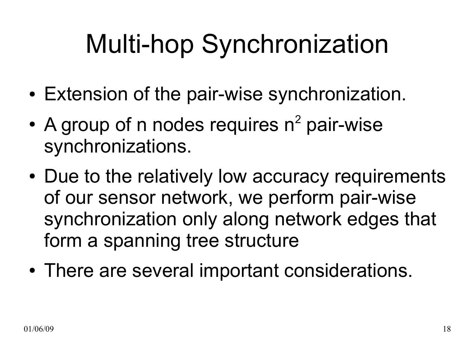# Multi-hop Synchronization

- Extension of the pair-wise synchronization.
- A group of n nodes requires  $n^2$  pair-wise synchronizations.
- Due to the relatively low accuracy requirements of our sensor network, we perform pair-wise synchronization only along network edges that form a spanning tree structure
- There are several important considerations.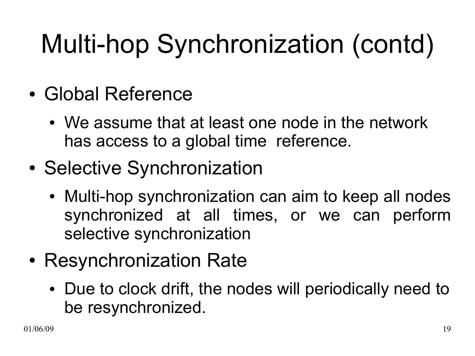# Multi-hop Synchronization (contd)

- Global Reference
	- We assume that at least one node in the network has access to a global time reference.
- Selective Synchronization
	- Multi-hop synchronization can aim to keep all nodes synchronized at all times, or we can perform selective synchronization
- Resynchronization Rate
	- Due to clock drift, the nodes will periodically need to be resynchronized.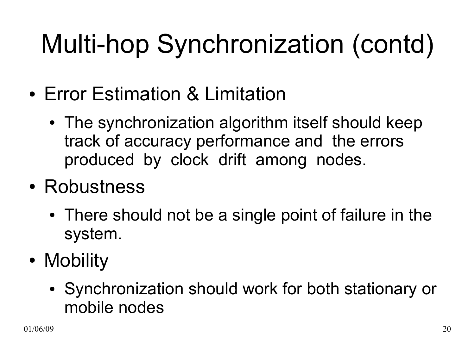# Multi-hop Synchronization (contd)

- Error Estimation & Limitation
	- The synchronization algorithm itself should keep track of accuracy performance and the errors produced by clock drift among nodes.
- Robustness
	- There should not be a single point of failure in the system.
- Mobility
	- Synchronization should work for both stationary or mobile nodes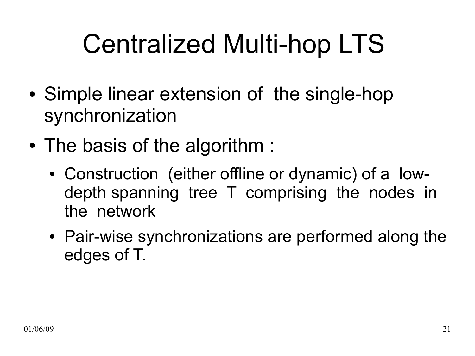# Centralized Multi-hop LTS

- Simple linear extension of the single-hop synchronization
- The basis of the algorithm :
	- Construction (either offline or dynamic) of a lowdepth spanning tree T comprising the nodes in the network
	- Pair-wise synchronizations are performed along the edges of T.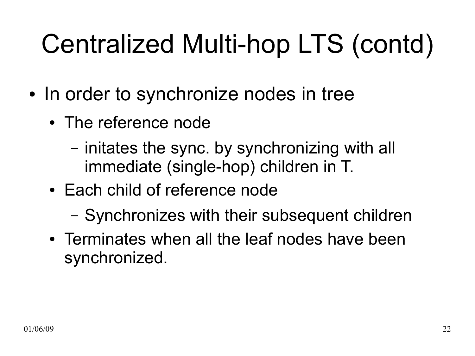# Centralized Multi-hop LTS (contd)

- In order to synchronize nodes in tree
	- The reference node
		- initates the sync. by synchronizing with all immediate (single-hop) children in T.
	- Each child of reference node
		- Synchronizes with their subsequent children
	- Terminates when all the leaf nodes have been synchronized.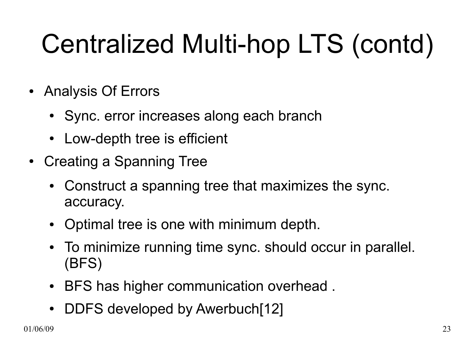# Centralized Multi-hop LTS (contd)

- Analysis Of Errors
	- Sync. error increases along each branch
	- Low-depth tree is efficient
- Creating a Spanning Tree
	- Construct a spanning tree that maximizes the sync. accuracy.
	- Optimal tree is one with minimum depth.
	- To minimize running time sync. should occur in parallel. (BFS)
	- BFS has higher communication overhead.
	- DDFS developed by Awerbuch[12]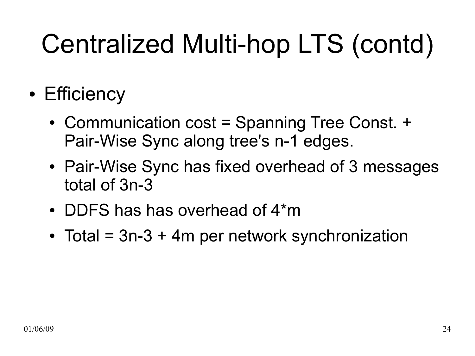# Centralized Multi-hop LTS (contd)

- Efficiency
	- Communication cost = Spanning Tree Const. + Pair-Wise Sync along tree's n-1 edges.
	- Pair-Wise Sync has fixed overhead of 3 messages total of 3n-3
	- DDFS has has overhead of  $4<sup>*</sup>m$
	- Total =  $3n-3 + 4m$  per network synchronization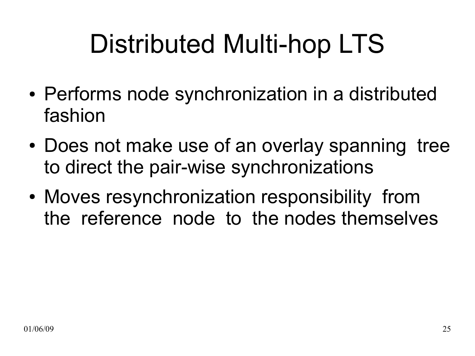# Distributed Multi-hop LTS

- Performs node synchronization in a distributed fashion
- Does not make use of an overlay spanning tree to direct the pair-wise synchronizations
- Moves resynchronization responsibility from the reference node to the nodes themselves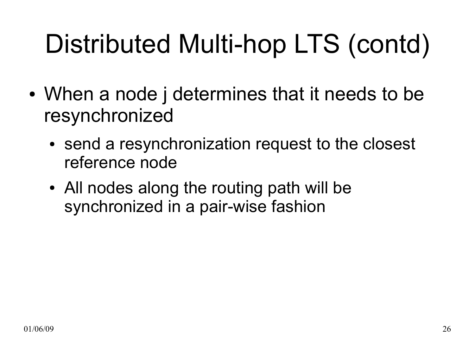# Distributed Multi-hop LTS (contd)

- When a node j determines that it needs to be resynchronized
	- send a resynchronization request to the closest reference node
	- All nodes along the routing path will be synchronized in a pair-wise fashion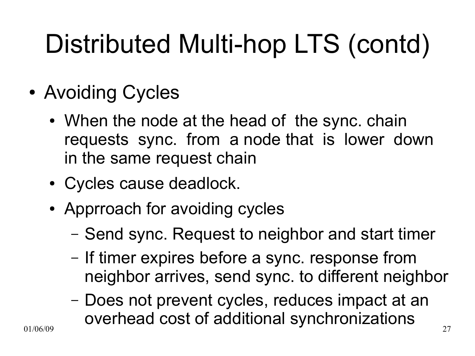# Distributed Multi-hop LTS (contd)

- Avoiding Cycles
	- When the node at the head of the sync. chain requests sync. from a node that is lower down in the same request chain
	- Cycles cause deadlock.
	- Apprroach for avoiding cycles
		- Send sync. Request to neighbor and start timer
		- If timer expires before a sync. response from neighbor arrives, send sync. to different neighbor
- $01/06/09$  27 – Does not prevent cycles, reduces impact at an overhead cost of additional synchronizations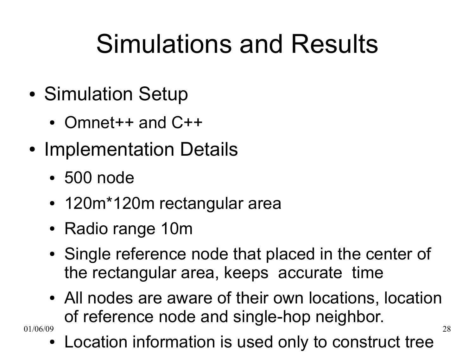# Simulations and Results

- Simulation Setup
	- Omnet $++$  and  $C++$
- Implementation Details
	- 500 node
	- 120m\*120m rectangular area
	- Radio range 10m
	- Single reference node that placed in the center of the rectangular area, keeps accurate time
- $01/06/09$  28 • All nodes are aware of their own locations, location of reference node and single-hop neighbor.

Location information is used only to construct tree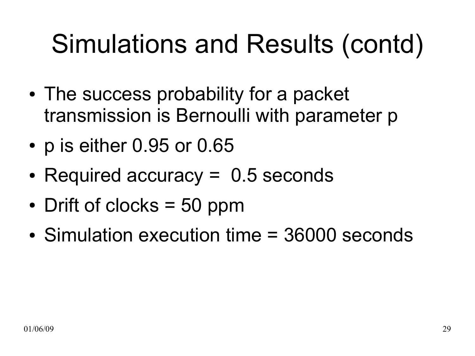- The success probability for a packet transmission is Bernoulli with parameter p
- p is either 0.95 or 0.65
- Required accuracy  $= 0.5$  seconds
- Drift of clocks  $=$  50 ppm
- Simulation execution time = 36000 seconds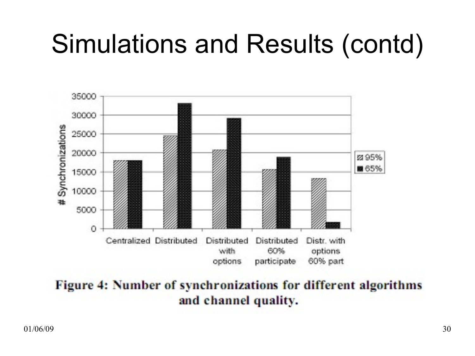

Figure 4: Number of synchronizations for different algorithms and channel quality.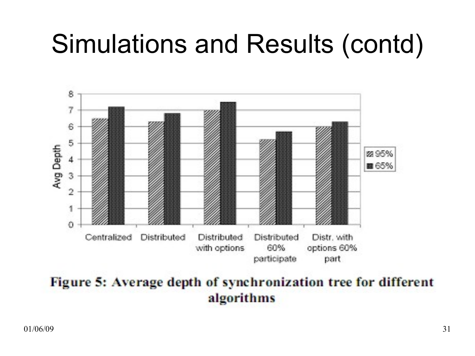

#### Figure 5: Average depth of synchronization tree for different algorithms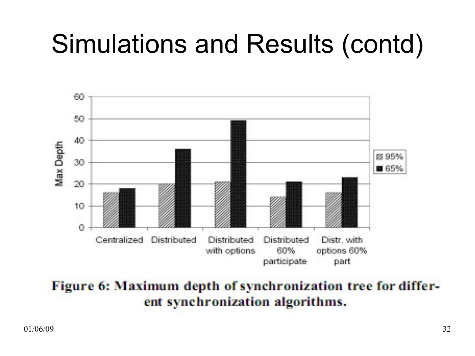

Figure 6: Maximum depth of synchronization tree for different synchronization algorithms.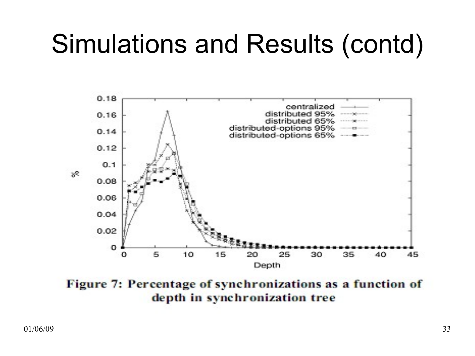

Figure 7: Percentage of synchronizations as a function of depth in synchronization tree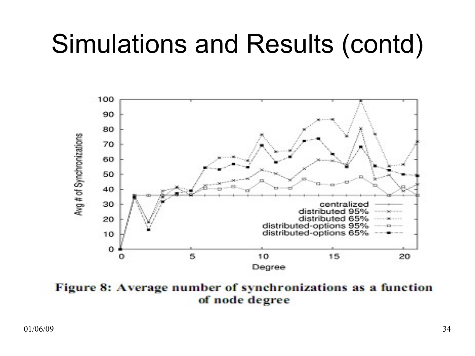

Figure 8: Average number of synchronizations as a function of node degree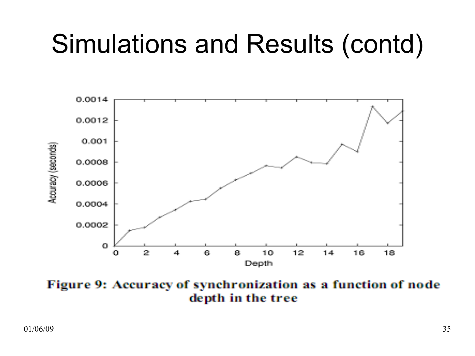

Figure 9: Accuracy of synchronization as a function of node depth in the tree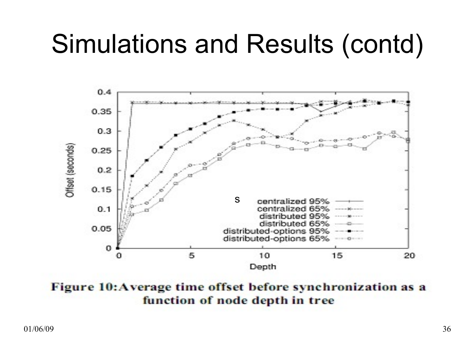

Figure 10: Average time offset before synchronization as a function of node depth in tree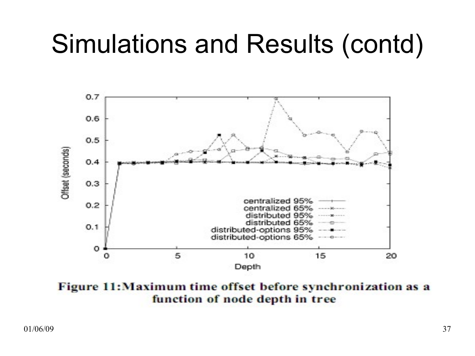

Figure 11: Maximum time offset before synchronization as a function of node depth in tree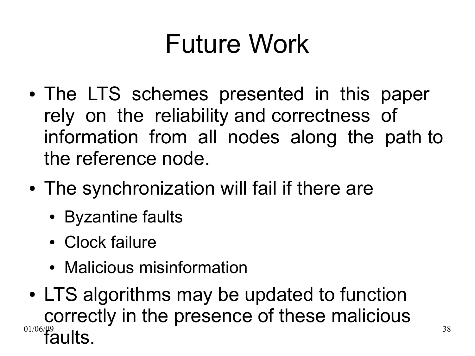# Future Work

- The LTS schemes presented in this paper rely on the reliability and correctness of information from all nodes along the path to the reference node.
- The synchronization will fail if there are
	- Byzantine faults
	- Clock failure
	- Malicious misinformation
- $01/06/\Omega$ 9 and  $38$ • LTS algorithms may be updated to function correctly in the presence of these malicious  $\tilde{\mathbf{z}}$ ults.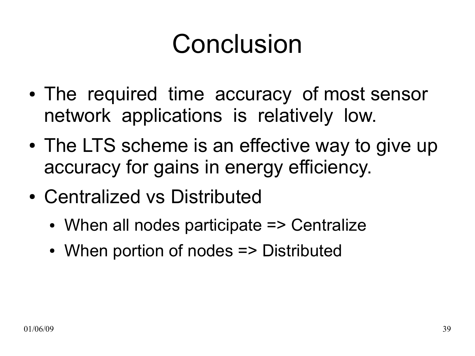## Conclusion

- The required time accuracy of most sensor network applications is relatively low.
- The LTS scheme is an effective way to give up accuracy for gains in energy efficiency.
- Centralized vs Distributed
	- $\bullet$  When all nodes participate  $\Rightarrow$  Centralize
	- When portion of nodes => Distributed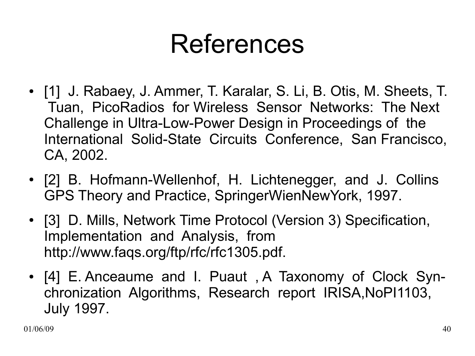- [1] J. Rabaey, J. Ammer, T. Karalar, S. Li, B. Otis, M. Sheets, T. Tuan, PicoRadios for Wireless Sensor Networks: The Next Challenge in Ultra-Low-Power Design in Proceedings of the International Solid-State Circuits Conference, San Francisco, CA, 2002.
- [2] B. Hofmann-Wellenhof, H. Lichtenegger, and J. Collins GPS Theory and Practice, SpringerWienNewYork, 1997.
- [3] D. Mills, Network Time Protocol (Version 3) Specification, Implementation and Analysis, from http://www.faqs.org/ftp/rfc/rfc1305.pdf.
- [4] E. Anceaume and I. Puaut, A Taxonomy of Clock Synchronization Algorithms, Research report IRISA,NoPI1103, July 1997.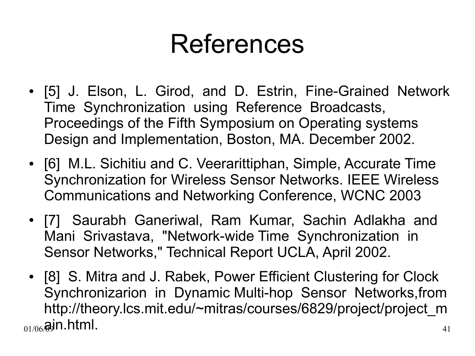- [5] J. Elson, L. Girod, and D. Estrin, Fine-Grained Network Time Synchronization using Reference Broadcasts, Proceedings of the Fifth Symposium on Operating systems Design and Implementation, Boston, MA. December 2002.
- [6] M.L. Sichitiu and C. Veerarittiphan, Simple, Accurate Time Synchronization for Wireless Sensor Networks. IEEE Wireless Communications and Networking Conference, WCNC 2003
- [7] Saurabh Ganeriwal, Ram Kumar, Sachin Adlakha and Mani Srivastava, "Network-wide Time Synchronization in Sensor Networks," Technical Report UCLA, April 2002.
- $_{01/06}$ @jn.html.  $_{41}$ • [8] S. Mitra and J. Rabek, Power Efficient Clustering for Clock Synchronizarion in Dynamic Multi-hop Sensor Networks,from http://theory.lcs.mit.edu/~mitras/courses/6829/project/project\_m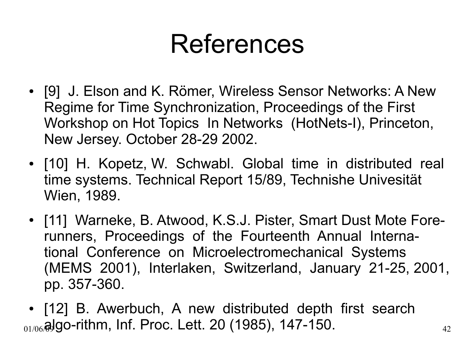- [9] J. Elson and K. Römer, Wireless Sensor Networks: A New Regime for Time Synchronization, Proceedings of the First Workshop on Hot Topics In Networks (HotNets-I), Princeton, New Jersey. October 28-29 2002.
- [10] H. Kopetz, W. Schwabl. Global time in distributed real time systems. Technical Report 15/89, Technishe Univesität Wien, 1989.
- [11] Warneke, B. Atwood, K.S.J. Pister, Smart Dust Mote Forerunners, Proceedings of the Fourteenth Annual International Conference on Microelectromechanical Systems (MEMS 2001), Interlaken, Switzerland, January 21-25, 2001, pp. 357-360.
- $_{01/06}$ @Jgo-rithm, Inf. Proc. Lett. 20 (1985), 147-150.  $_{42}$ • [12] B. Awerbuch, A new distributed depth first search